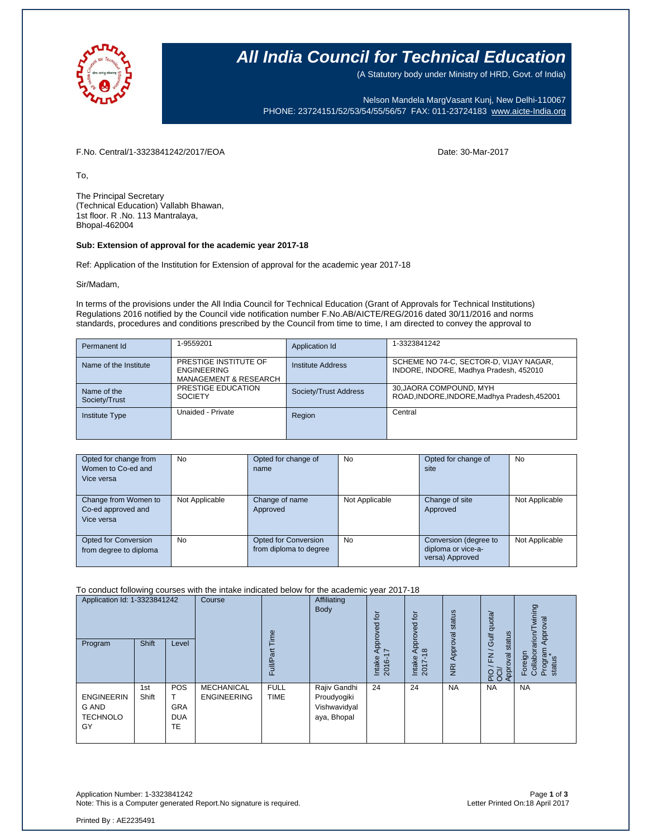

### **All India Council for Technical Education**

(A Statutory body under Ministry of HRD, Govt. of India)

Nelson Mandela MargVasant Kunj, New Delhi-110067 PHONE: 23724151/52/53/54/55/56/57 FAX: 011-23724183 [www.aicte-India.org](http://www.aicte-india.org/)

F.No. Central/1-3323841242/2017/EOA Date: 30-Mar-2017

To,

The Principal Secretary (Technical Education) Vallabh Bhawan, 1st floor. R .No. 113 Mantralaya, Bhopal-462004

#### **Sub: Extension of approval for the academic year 2017-18**

Ref: Application of the Institution for Extension of approval for the academic year 2017-18

Sir/Madam,

In terms of the provisions under the All India Council for Technical Education (Grant of Approvals for Technical Institutions) Regulations 2016 notified by the Council vide notification number F.No.AB/AICTE/REG/2016 dated 30/11/2016 and norms standards, procedures and conditions prescribed by the Council from time to time, I am directed to convey the approval to

| Permanent Id                 | 1-9559201                                                                       | Application Id        | 1-3323841242                                                                     |
|------------------------------|---------------------------------------------------------------------------------|-----------------------|----------------------------------------------------------------------------------|
| Name of the Institute        | PRESTIGE INSTITUTE OF<br><b>ENGINEERING</b><br><b>MANAGEMENT &amp; RESEARCH</b> | Institute Address     | SCHEME NO 74-C, SECTOR-D, VIJAY NAGAR,<br>INDORE, INDORE, Madhya Pradesh, 452010 |
| Name of the<br>Society/Trust | PRESTIGE EDUCATION<br><b>SOCIETY</b>                                            | Society/Trust Address | 30, JAORA COMPOUND, MYH<br>ROAD, INDORE, INDORE, Madhya Pradesh, 452001          |
| <b>Institute Type</b>        | Unaided - Private                                                               | Region                | Central                                                                          |

| Opted for change from<br>Women to Co-ed and<br>Vice versa | <b>No</b>      | Opted for change of<br>name                           | <b>No</b>      | Opted for change of<br>site                                    | No             |
|-----------------------------------------------------------|----------------|-------------------------------------------------------|----------------|----------------------------------------------------------------|----------------|
| Change from Women to<br>Co-ed approved and<br>Vice versa  | Not Applicable | Change of name<br>Approved                            | Not Applicable | Change of site<br>Approved                                     | Not Applicable |
| Opted for Conversion<br>from degree to diploma            | <b>No</b>      | <b>Opted for Conversion</b><br>from diploma to degree | <b>No</b>      | Conversion (degree to<br>diploma or vice-a-<br>versa) Approved | Not Applicable |

To conduct following courses with the intake indicated below for the academic year 2017-18

| Application Id: 1-3323841242                        |              | Course                                | Time                                    | Affiliating<br>Body        | tor<br>Approved<br>I7                                      | tor<br>pproved | status                                    | Gulf quota/               | wining<br>Approval                                             |                                                  |
|-----------------------------------------------------|--------------|---------------------------------------|-----------------------------------------|----------------------------|------------------------------------------------------------|----------------|-------------------------------------------|---------------------------|----------------------------------------------------------------|--------------------------------------------------|
| Program                                             | Shift        | Level                                 |                                         | āť<br>Full/P <sub>3</sub>  |                                                            | Intake<br>2016 | ₹<br>$\frac{\infty}{2}$<br>Intake<br>2017 | Approval<br>$\frac{1}{2}$ | status<br>$\overline{\phantom{0}}$<br>준<br>Approval<br>요.<br>또 | Foreign<br>Collaborarion/Tv<br>Program<br>status |
| <b>ENGINEERIN</b><br>G AND<br><b>TECHNOLO</b><br>GY | 1st<br>Shift | POS<br><b>GRA</b><br><b>DUA</b><br>TE | <b>MECHANICAL</b><br><b>ENGINEERING</b> | <b>FULL</b><br><b>TIME</b> | Rajiv Gandhi<br>Proudyogiki<br>Vishwavidyal<br>aya, Bhopal | 24             | 24                                        | <b>NA</b>                 | <b>NA</b>                                                      | <b>NA</b>                                        |

Application Number: 1-3323841242 Page **1** of **3** Note: This is a Computer generated Report.No signature is required.

Printed By : AE2235491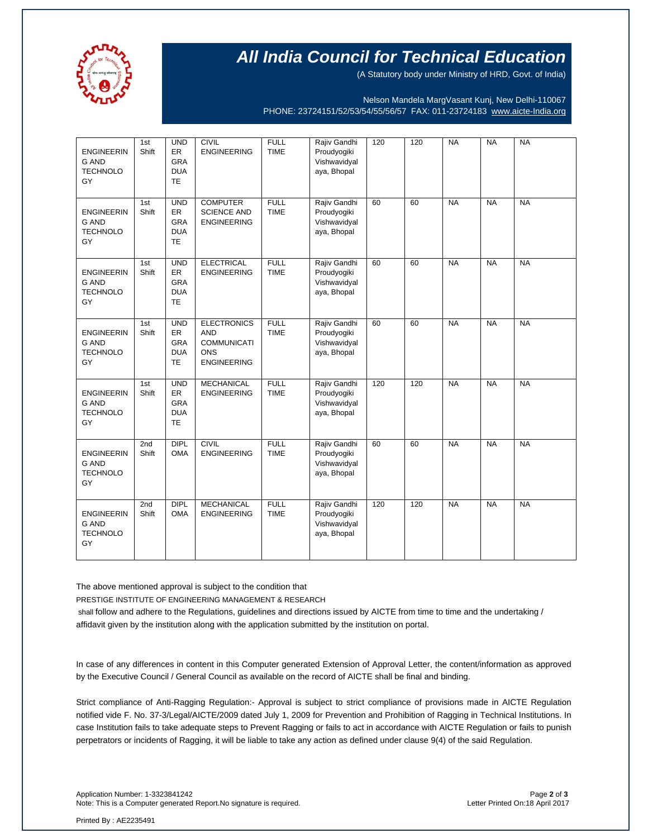

## **All India Council for Technical Education**

(A Statutory body under Ministry of HRD, Govt. of India)

Nelson Mandela MargVasant Kunj, New Delhi-110067 PHONE: 23724151/52/53/54/55/56/57 FAX: 011-23724183 [www.aicte-India.org](http://www.aicte-india.org/)

| <b>ENGINEERIN</b><br><b>G AND</b><br><b>TECHNOLO</b><br>GY | 1st<br>Shift | <b>UND</b><br>ER<br><b>GRA</b><br><b>DUA</b><br><b>TE</b>        | <b>CIVIL</b><br><b>ENGINEERING</b>                                                         | <b>FULL</b><br><b>TIME</b> | Rajiv Gandhi<br>Proudyogiki<br>Vishwavidyal<br>aya, Bhopal | 120 | 120 | <b>NA</b> | <b>NA</b> | <b>NA</b> |
|------------------------------------------------------------|--------------|------------------------------------------------------------------|--------------------------------------------------------------------------------------------|----------------------------|------------------------------------------------------------|-----|-----|-----------|-----------|-----------|
| <b>ENGINEERIN</b><br><b>G AND</b><br><b>TECHNOLO</b><br>GY | 1st<br>Shift | <b>UND</b><br><b>ER</b><br><b>GRA</b><br><b>DUA</b><br><b>TE</b> | <b>COMPUTER</b><br><b>SCIENCE AND</b><br><b>ENGINEERING</b>                                | <b>FULL</b><br><b>TIME</b> | Rajiv Gandhi<br>Proudyogiki<br>Vishwavidyal<br>aya, Bhopal | 60  | 60  | <b>NA</b> | <b>NA</b> | <b>NA</b> |
| <b>ENGINEERIN</b><br><b>G AND</b><br><b>TECHNOLO</b><br>GY | 1st<br>Shift | <b>UND</b><br>ER<br><b>GRA</b><br><b>DUA</b><br><b>TE</b>        | <b>ELECTRICAL</b><br><b>ENGINEERING</b>                                                    | <b>FULL</b><br><b>TIME</b> | Rajiv Gandhi<br>Proudyogiki<br>Vishwavidyal<br>aya, Bhopal | 60  | 60  | <b>NA</b> | <b>NA</b> | <b>NA</b> |
| <b>ENGINEERIN</b><br><b>G AND</b><br><b>TECHNOLO</b><br>GY | 1st<br>Shift | <b>UND</b><br>ER<br><b>GRA</b><br><b>DUA</b><br><b>TE</b>        | <b>ELECTRONICS</b><br><b>AND</b><br><b>COMMUNICATI</b><br><b>ONS</b><br><b>ENGINEERING</b> | <b>FULL</b><br><b>TIME</b> | Rajiv Gandhi<br>Proudyogiki<br>Vishwavidyal<br>aya, Bhopal | 60  | 60  | <b>NA</b> | <b>NA</b> | <b>NA</b> |
| <b>ENGINEERIN</b><br>G AND<br><b>TECHNOLO</b><br>GY        | 1st<br>Shift | <b>UND</b><br>ER<br><b>GRA</b><br><b>DUA</b><br><b>TE</b>        | <b>MECHANICAL</b><br><b>ENGINEERING</b>                                                    | <b>FULL</b><br><b>TIME</b> | Rajiv Gandhi<br>Proudyogiki<br>Vishwavidyal<br>aya, Bhopal | 120 | 120 | <b>NA</b> | <b>NA</b> | <b>NA</b> |
| <b>ENGINEERIN</b><br><b>G AND</b><br><b>TECHNOLO</b><br>GY | 2nd<br>Shift | <b>DIPL</b><br><b>OMA</b>                                        | <b>CIVIL</b><br><b>ENGINEERING</b>                                                         | <b>FULL</b><br><b>TIME</b> | Rajiv Gandhi<br>Proudyogiki<br>Vishwavidyal<br>aya, Bhopal | 60  | 60  | <b>NA</b> | <b>NA</b> | <b>NA</b> |
| <b>ENGINEERIN</b><br><b>G AND</b><br><b>TECHNOLO</b><br>GY | 2nd<br>Shift | <b>DIPL</b><br><b>OMA</b>                                        | <b>MECHANICAL</b><br><b>ENGINEERING</b>                                                    | <b>FULL</b><br><b>TIME</b> | Rajiv Gandhi<br>Proudyogiki<br>Vishwavidyal<br>aya, Bhopal | 120 | 120 | <b>NA</b> | <b>NA</b> | <b>NA</b> |

The above mentioned approval is subject to the condition that

PRESTIGE INSTITUTE OF ENGINEERING MANAGEMENT & RESEARCH

shall follow and adhere to the Regulations, guidelines and directions issued by AICTE from time to time and the undertaking / affidavit given by the institution along with the application submitted by the institution on portal.

In case of any differences in content in this Computer generated Extension of Approval Letter, the content/information as approved by the Executive Council / General Council as available on the record of AICTE shall be final and binding.

Strict compliance of Anti-Ragging Regulation:- Approval is subject to strict compliance of provisions made in AICTE Regulation notified vide F. No. 37-3/Legal/AICTE/2009 dated July 1, 2009 for Prevention and Prohibition of Ragging in Technical Institutions. In case Institution fails to take adequate steps to Prevent Ragging or fails to act in accordance with AICTE Regulation or fails to punish perpetrators or incidents of Ragging, it will be liable to take any action as defined under clause 9(4) of the said Regulation.